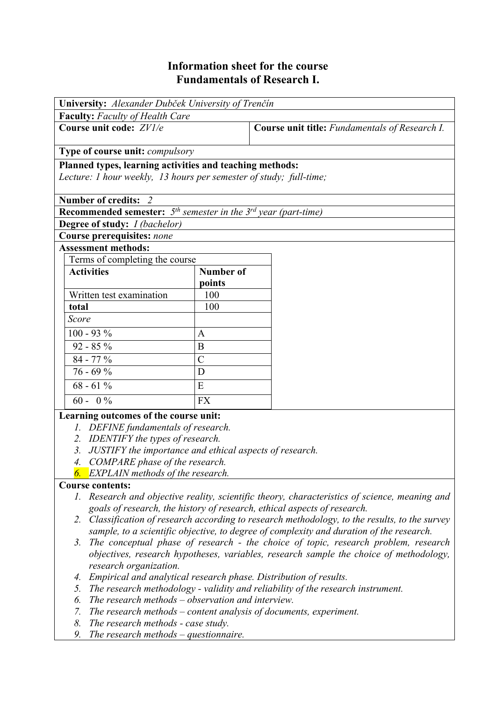# **Information sheet for the course Fundamentals of Research I.**

| University: Alexander Dubček University of Trenčín                        |                  |                                                |  |  |  |  |
|---------------------------------------------------------------------------|------------------|------------------------------------------------|--|--|--|--|
| <b>Faculty:</b> Faculty of Health Care                                    |                  |                                                |  |  |  |  |
| Course unit code: ZV1/e                                                   |                  | Course unit title: Fundamentals of Research I. |  |  |  |  |
| Type of course unit: <i>compulsory</i>                                    |                  |                                                |  |  |  |  |
| Planned types, learning activities and teaching methods:                  |                  |                                                |  |  |  |  |
| Lecture: 1 hour weekly, 13 hours per semester of study; full-time;        |                  |                                                |  |  |  |  |
| Number of credits: 2                                                      |                  |                                                |  |  |  |  |
| <b>Recommended semester:</b> $5th$ semester in the $3rd$ year (part-time) |                  |                                                |  |  |  |  |
| <b>Degree of study:</b> <i>I (bachelor)</i>                               |                  |                                                |  |  |  |  |
| <b>Course prerequisites: none</b>                                         |                  |                                                |  |  |  |  |
| <b>Assessment methods:</b>                                                |                  |                                                |  |  |  |  |
| Terms of completing the course                                            |                  |                                                |  |  |  |  |
| <b>Activities</b>                                                         | <b>Number of</b> |                                                |  |  |  |  |
|                                                                           | points           |                                                |  |  |  |  |
| Written test examination                                                  | 100              |                                                |  |  |  |  |
| total                                                                     | 100              |                                                |  |  |  |  |
| Score                                                                     |                  |                                                |  |  |  |  |
| $100 - 93 %$                                                              | A                |                                                |  |  |  |  |
| $92 - 85 \%$                                                              | B                |                                                |  |  |  |  |
| $84 - 77 %$                                                               | $\overline{C}$   |                                                |  |  |  |  |
| $76 - 69%$                                                                | D                |                                                |  |  |  |  |
| $68 - 61\%$                                                               | E                |                                                |  |  |  |  |
| $60 - 0\%$                                                                | <b>FX</b>        |                                                |  |  |  |  |
| Learning outcomes of the course unit:                                     |                  |                                                |  |  |  |  |
| 1. DEFINE fundamentals of research.                                       |                  |                                                |  |  |  |  |
| 2. IDENTIFY the types of research.                                        |                  |                                                |  |  |  |  |
| 3. JUSTIFY the importance and ethical aspects of research.                |                  |                                                |  |  |  |  |
| 4. COMPARE phase of the research.                                         |                  |                                                |  |  |  |  |
| <b>6.</b> EXPLAIN methods of the research.                                |                  |                                                |  |  |  |  |

### **Course contents:**

- *1. Research and objective reality, scientific theory, characteristics of science, meaning and goals of research, the history of research, ethical aspects of research.*
- *2. Classification of research according to research methodology, to the results, to the survey sample, to a scientific objective, to degree of complexity and duration of the research.*
- *3. The conceptual phase of research the choice of topic, research problem, research objectives, research hypotheses, variables, research sample the choice of methodology, research organization.*
- *4. Empirical and analytical research phase. Distribution of results.*
- *5. The research methodology validity and reliability of the research instrument.*
- *6. The research methods observation and interview.*
- *7. The research methods content analysis of documents, experiment.*
- *8. The research methods case study.*
- *9. The research methods questionnaire.*